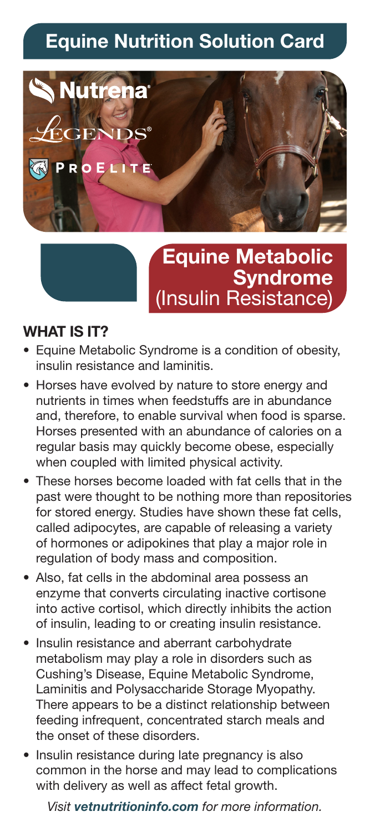# **Equine Nutrition Solution Card**



## **Equine Metabolic Syndrome** (Insulin Resistance)

#### **WHAT IS IT?**

- Equine Metabolic Syndrome is a condition of obesity, insulin resistance and laminitis.
- Horses have evolved by nature to store energy and nutrients in times when feedstuffs are in abundance and, therefore, to enable survival when food is sparse. Horses presented with an abundance of calories on a regular basis may quickly become obese, especially when coupled with limited physical activity.
- These horses become loaded with fat cells that in the past were thought to be nothing more than repositories for stored energy. Studies have shown these fat cells, called adipocytes, are capable of releasing a variety of hormones or adipokines that play a major role in regulation of body mass and composition.
- Also, fat cells in the abdominal area possess an enzyme that converts circulating inactive cortisone into active cortisol, which directly inhibits the action of insulin, leading to or creating insulin resistance.
- Insulin resistance and aberrant carbohydrate metabolism may play a role in disorders such as Cushing's Disease, Equine Metabolic Syndrome, Laminitis and Polysaccharide Storage Myopathy. There appears to be a distinct relationship between feeding infrequent, concentrated starch meals and the onset of these disorders.
- Insulin resistance during late pregnancy is also common in the horse and may lead to complications with delivery as well as affect fetal growth.

*Visit vetnutritioninfo.com for more information.*